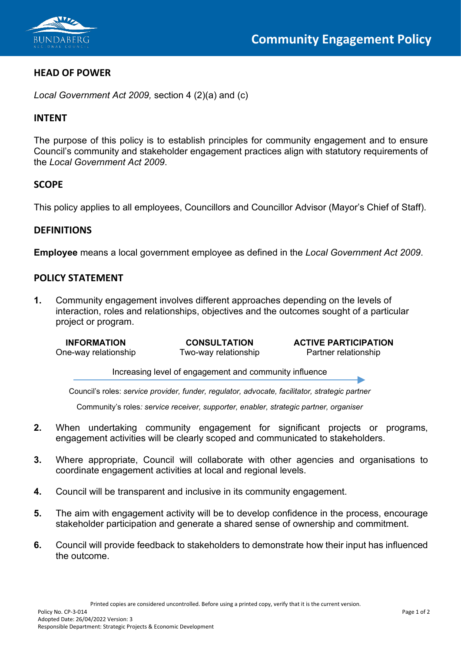

## **HEAD OF POWER**

*Local Government Act 2009,* section 4 (2)(a) and (c)

#### **INTENT**

The purpose of this policy is to establish principles for community engagement and to ensure Council's community and stakeholder engagement practices align with statutory requirements of the *Local Government Act 2009*.

## **SCOPE**

This policy applies to all employees, Councillors and Councillor Advisor (Mayor's Chief of Staff).

#### **DEFINITIONS**

**Employee** means a local government employee as defined in the *Local Government Act 2009*.

## **POLICY STATEMENT**

**1.** Community engagement involves different approaches depending on the levels of interaction, roles and relationships, objectives and the outcomes sought of a particular project or program.

Two-way relationship

**INFORMATION CONSULTATION ACTIVE PARTICIPATION**<br>
One-way relationship **CONSULTATION CONSULTATION ACTIVE PARTICIPATION** 

Increasing level of engagement and community influence

Council's roles: *service provider, funder, regulator, advocate, facilitator, strategic partner*

Community's roles*: service receiver, supporter, enabler, strategic partner, organiser*

- **2.** When undertaking community engagement for significant projects or programs, engagement activities will be clearly scoped and communicated to stakeholders.
- **3.** Where appropriate, Council will collaborate with other agencies and organisations to coordinate engagement activities at local and regional levels.
- **4.** Council will be transparent and inclusive in its community engagement.
- **5.** The aim with engagement activity will be to develop confidence in the process, encourage stakeholder participation and generate a shared sense of ownership and commitment.
- **6.** Council will provide feedback to stakeholders to demonstrate how their input has influenced the outcome.

Printed copies are considered uncontrolled. Before using a printed copy, verify that it is the current version.